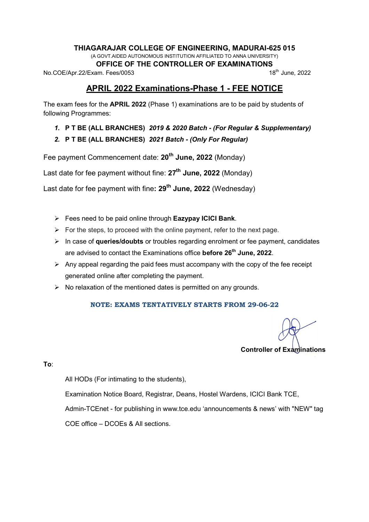#### THIAGARAJAR COLLEGE OF ENGINEERING, MADURAI-625 015

(A GOVT.AIDED AUTONOMOUS INSTITUTION AFFILIATED TO ANNA UNIVERSITY)

**OFFICE OF THE CONTROLLER OF EXAMINATIONS**<br>am Fees/0053 18<sup>th</sup> June, 2022

No.COE/Apr.22/Exam. Fees/0053

# APRIL 2022 Examinations-Phase 1 - FEE NOTICE

The exam fees for the APRIL 2022 (Phase 1) examinations are to be paid by students of following Programmes:

- 1. P T BE (ALL BRANCHES) 2019 & 2020 Batch (For Regular & Supplementary)
- 2. P T BE (ALL BRANCHES) 2021 Batch (Only For Regular)

Fee payment Commencement date: 20<sup>th</sup> June, 2022 (Monday)

Last date for fee payment without fine:  $27<sup>th</sup>$  June, 2022 (Monday)

Last date for fee payment with fine: 29<sup>th</sup> June, 2022 (Wednesday)

- $\triangleright$  Fees need to be paid online through Eazypay ICICI Bank.
- $\triangleright$  For the steps, to proceed with the online payment, refer to the next page.
- $\triangleright$  In case of queries/doubts or troubles regarding enrolment or fee payment, candidates are advised to contact the Examinations office before 26<sup>th</sup> June, 2022.
- $\triangleright$  Any appeal regarding the paid fees must accompany with the copy of the fee receipt generated online after completing the payment.
- $\triangleright$  No relaxation of the mentioned dates is permitted on any grounds.

## NOTE: EXAMS TENTATIVELY STARTS FROM 29-06-22

Controller of Examinations

To:

All HODs (For intimating to the students),

Examination Notice Board, Registrar, Deans, Hostel Wardens, ICICI Bank TCE,

Admin-TCEnet - for publishing in www.tce.edu 'announcements & news' with "NEW" tag

COE office – DCOEs & All sections.